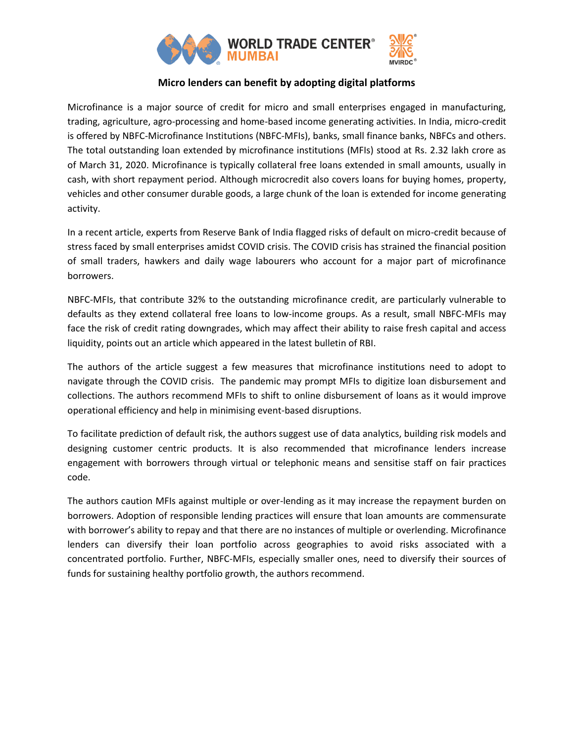

## **Micro lenders can benefit by adopting digital platforms**

Microfinance is a major source of credit for micro and small enterprises engaged in manufacturing, trading, agriculture, agro-processing and home-based income generating activities. In India, micro-credit is offered by NBFC-Microfinance Institutions (NBFC-MFIs), banks, small finance banks, NBFCs and others. The total outstanding loan extended by microfinance institutions (MFIs) stood at Rs. 2.32 lakh crore as of March 31, 2020. Microfinance is typically collateral free loans extended in small amounts, usually in cash, with short repayment period. Although microcredit also covers loans for buying homes, property, vehicles and other consumer durable goods, a large chunk of the loan is extended for income generating activity.

In a recent article, experts from Reserve Bank of India flagged risks of default on micro-credit because of stress faced by small enterprises amidst COVID crisis. The COVID crisis has strained the financial position of small traders, hawkers and daily wage labourers who account for a major part of microfinance borrowers.

NBFC-MFIs, that contribute 32% to the outstanding microfinance credit, are particularly vulnerable to defaults as they extend collateral free loans to low-income groups. As a result, small NBFC-MFIs may face the risk of credit rating downgrades, which may affect their ability to raise fresh capital and access liquidity, points out an article which appeared in the latest bulletin of RBI.

The authors of the article suggest a few measures that microfinance institutions need to adopt to navigate through the COVID crisis. The pandemic may prompt MFIs to digitize loan disbursement and collections. The authors recommend MFIs to shift to online disbursement of loans as it would improve operational efficiency and help in minimising event-based disruptions.

To facilitate prediction of default risk, the authors suggest use of data analytics, building risk models and designing customer centric products. It is also recommended that microfinance lenders increase engagement with borrowers through virtual or telephonic means and sensitise staff on fair practices code.

The authors caution MFIs against multiple or over-lending as it may increase the repayment burden on borrowers. Adoption of responsible lending practices will ensure that loan amounts are commensurate with borrower's ability to repay and that there are no instances of multiple or overlending. Microfinance lenders can diversify their loan portfolio across geographies to avoid risks associated with a concentrated portfolio. Further, NBFC-MFIs, especially smaller ones, need to diversify their sources of funds for sustaining healthy portfolio growth, the authors recommend.